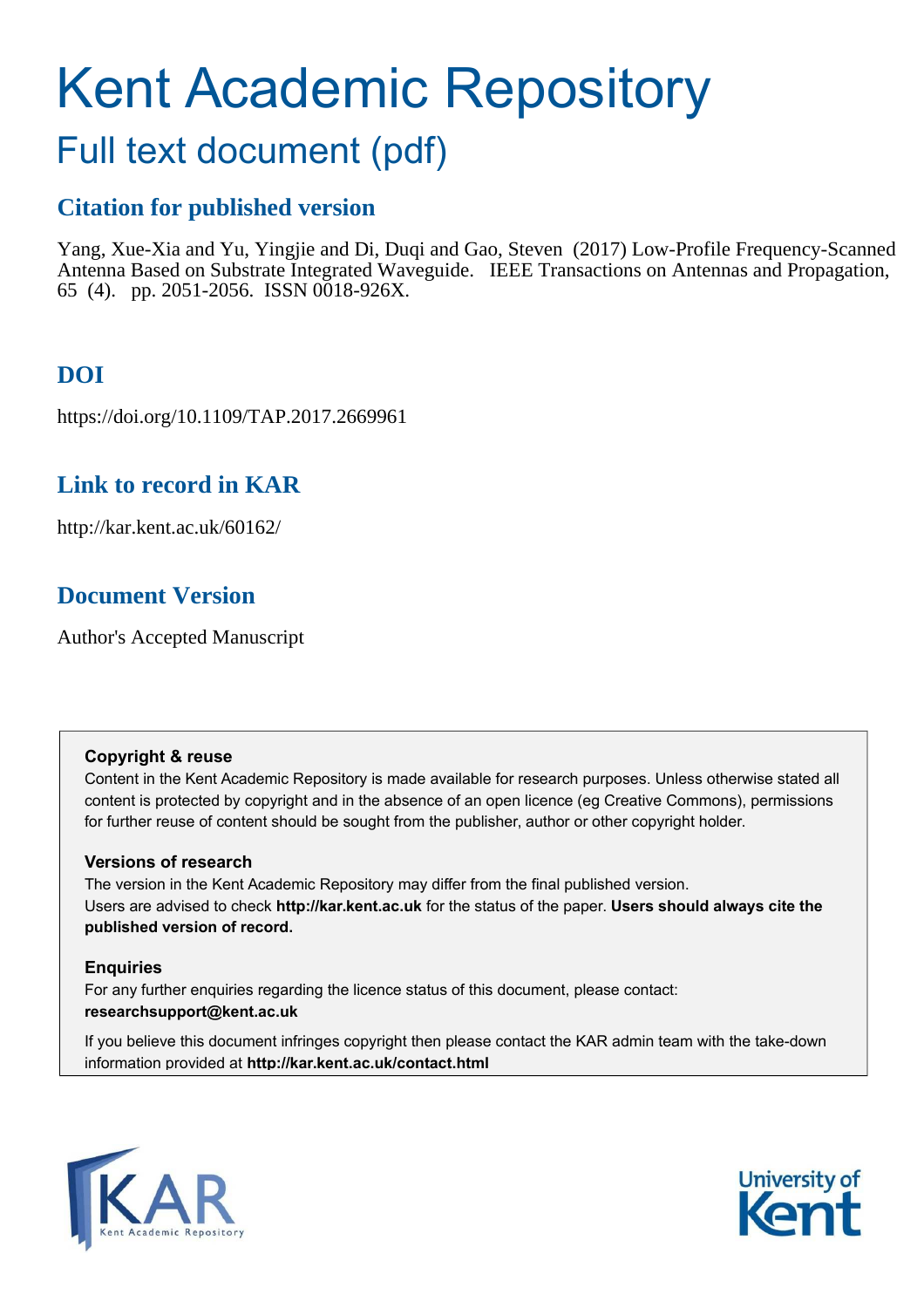# Kent Academic Repository

# Full text document (pdf)

## **Citation for published version**

Yang, Xue-Xia and Yu, Yingjie and Di, Duqi and Gao, Steven (2017) Low-Profile Frequency-Scanned Antenna Based on Substrate Integrated Waveguide. IEEE Transactions on Antennas and Propagation, 65 (4). pp. 2051-2056. ISSN 0018-926X.

# **DOI**

https://doi.org/10.1109/TAP.2017.2669961

## **Link to record in KAR**

http://kar.kent.ac.uk/60162/

## **Document Version**

Author's Accepted Manuscript

#### **Copyright & reuse**

Content in the Kent Academic Repository is made available for research purposes. Unless otherwise stated all content is protected by copyright and in the absence of an open licence (eg Creative Commons), permissions for further reuse of content should be sought from the publisher, author or other copyright holder.

#### **Versions of research**

The version in the Kent Academic Repository may differ from the final published version. Users are advised to check **http://kar.kent.ac.uk** for the status of the paper. **Users should always cite the published version of record.**

#### **Enquiries**

For any further enquiries regarding the licence status of this document, please contact: **researchsupport@kent.ac.uk**

If you believe this document infringes copyright then please contact the KAR admin team with the take-down information provided at **http://kar.kent.ac.uk/contact.html**



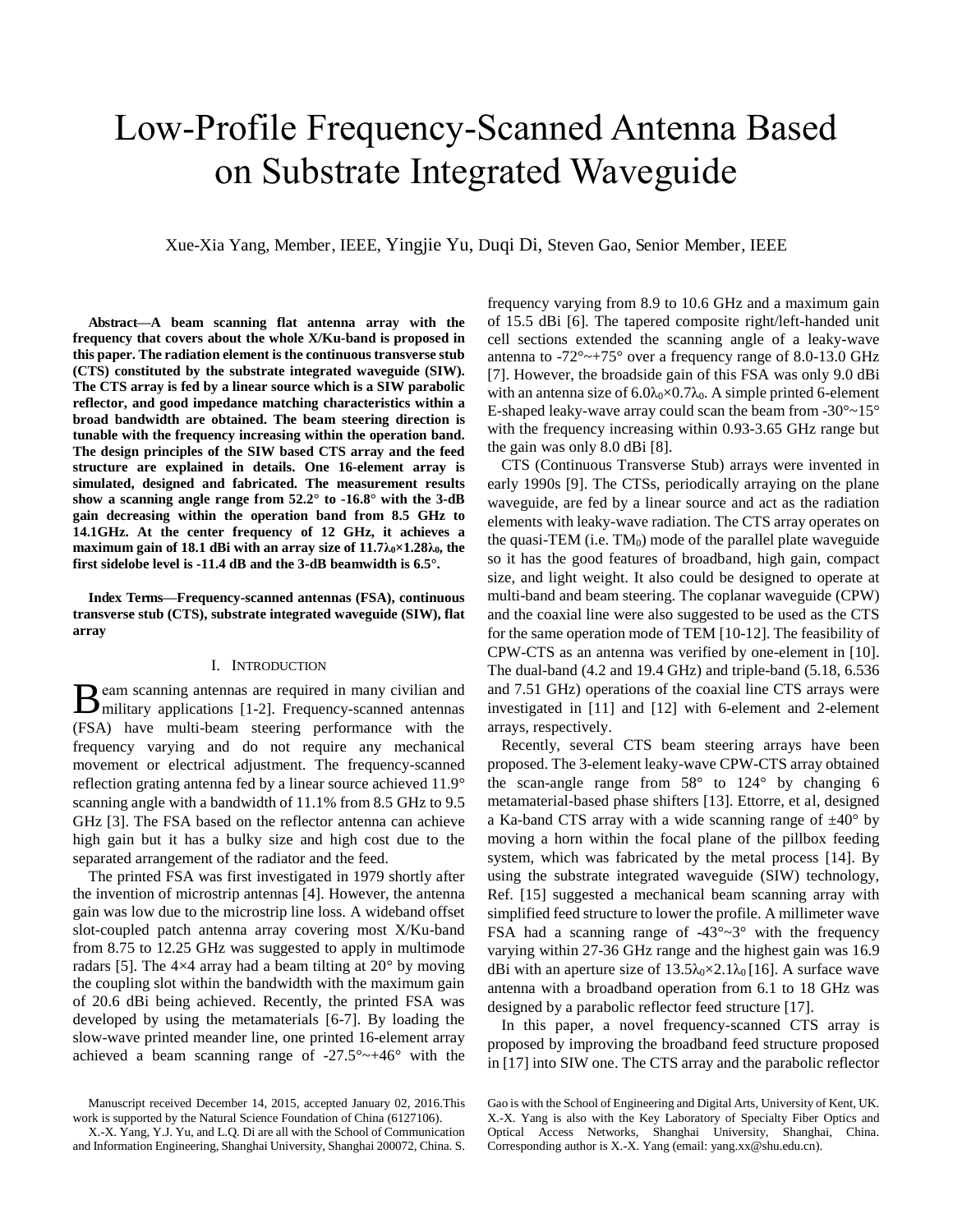# Low-Profile Frequency-Scanned Antenna Based on Substrate Integrated Waveguide

Xue-Xia Yang, Member, IEEE, Yingjie Yu, Duqi Di, Steven Gao, Senior Member, IEEE

**Abstract—A beam scanning flat antenna array with the frequency that covers about the whole X/Ku-band is proposed in this paper. The radiation element is the continuous transverse stub (CTS) constituted by the substrate integrated waveguide (SIW). The CTS array is fed by a linear source which is a SIW parabolic reflector, and good impedance matching characteristics within a broad bandwidth are obtained. The beam steering direction is tunable with the frequency increasing within the operation band. The design principles of the SIW based CTS array and the feed structure are explained in details. One 16-element array is simulated, designed and fabricated. The measurement results show a scanning angle range from 52.2° to -16.8° with the 3-dB gain decreasing within the operation band from 8.5 GHz to 14.1GHz. At the center frequency of 12 GHz, it achieves a maximum gain of 18.1 dBi with an array size of**  $11.7\lambda_0 \times 1.28\lambda_0$ **, the first sidelobe level is -11.4 dB and the 3-dB beamwidth is 6.5°.** 

**Index Terms—Frequency-scanned antennas (FSA), continuous transverse stub (CTS), substrate integrated waveguide (SIW), flat array** 

#### I. INTRODUCTION

eam scanning antennas are required in many civilian and  $\mathbf B$  eam scanning antennas are required in many civilian and military applications [1-2]. Frequency-scanned antennas (FSA) have multi-beam steering performance with the frequency varying and do not require any mechanical movement or electrical adjustment. The frequency-scanned reflection grating antenna fed by a linear source achieved 11.9° scanning angle with a bandwidth of 11.1% from 8.5 GHz to 9.5 GHz [3]. The FSA based on the reflector antenna can achieve high gain but it has a bulky size and high cost due to the separated arrangement of the radiator and the feed.

The printed FSA was first investigated in 1979 shortly after the invention of microstrip antennas [4]. However, the antenna gain was low due to the microstrip line loss. A wideband offset slot-coupled patch antenna array covering most X/Ku-band from 8.75 to 12.25 GHz was suggested to apply in multimode radars [5]. The  $4\times4$  array had a beam tilting at  $20^{\circ}$  by moving the coupling slot within the bandwidth with the maximum gain of 20.6 dBi being achieved. Recently, the printed FSA was developed by using the metamaterials [6-7]. By loading the slow-wave printed meander line, one printed 16-element array achieved a beam scanning range of  $-27.5^{\circ}$   $\rightarrow$   $+46^{\circ}$  with the

frequency varying from 8.9 to 10.6 GHz and a maximum gain of 15.5 dBi [6]. The tapered composite right/left-handed unit cell sections extended the scanning angle of a leaky-wave antenna to  $-72^{\circ}$   $\sim$  +75° over a frequency range of 8.0-13.0 GHz [7]. However, the broadside gain of this FSA was only 9.0 dBi with an antenna size of  $6.0\lambda_0 \times 0.7\lambda_0$ . A simple printed 6-element E-shaped leaky-wave array could scan the beam from  $-30^{\circ}$   $-15^{\circ}$ with the frequency increasing within 0.93-3.65 GHz range but the gain was only 8.0 dBi [8].

CTS (Continuous Transverse Stub) arrays were invented in early 1990s [9]. The CTSs, periodically arraying on the plane waveguide, are fed by a linear source and act as the radiation elements with leaky-wave radiation. The CTS array operates on the quasi-TEM (i.e.  $TM_0$ ) mode of the parallel plate waveguide so it has the good features of broadband, high gain, compact size, and light weight. It also could be designed to operate at multi-band and beam steering. The coplanar waveguide (CPW) and the coaxial line were also suggested to be used as the CTS for the same operation mode of TEM [10-12]. The feasibility of CPW-CTS as an antenna was verified by one-element in [10]. The dual-band (4.2 and 19.4 GHz) and triple-band (5.18, 6.536 and 7.51 GHz) operations of the coaxial line CTS arrays were investigated in [11] and [12] with 6-element and 2-element arrays, respectively.

Recently, several CTS beam steering arrays have been proposed. The 3-element leaky-wave CPW-CTS array obtained the scan-angle range from  $58^{\circ}$  to  $124^{\circ}$  by changing 6 metamaterial-based phase shifters [13]. Ettorre, et al, designed a Ka-band CTS array with a wide scanning range of  $\pm 40^{\circ}$  by moving a horn within the focal plane of the pillbox feeding system, which was fabricated by the metal process [14]. By using the substrate integrated waveguide (SIW) technology, Ref. [15] suggested a mechanical beam scanning array with simplified feed structure to lower the profile. A millimeter wave FSA had a scanning range of  $-43^{\circ}$   $-3^{\circ}$  with the frequency varying within 27-36 GHz range and the highest gain was 16.9 dBi with an aperture size of  $13.5\lambda_0 \times 2.1\lambda_0$  [16]. A surface wave antenna with a broadband operation from 6.1 to 18 GHz was designed by a parabolic reflector feed structure [17].

In this paper, a novel frequency-scanned CTS array is proposed by improving the broadband feed structure proposed in [17] into SIW one. The CTS array and the parabolic reflector

Manuscript received December 14, 2015, accepted January 02, 2016.This work is supported by the Natural Science Foundation of China (6127106).

X.-X. Yang, Y.J. Yu, and L.Q. Di are all with the School of Communication and Information Engineering, Shanghai University, Shanghai 200072, China. S.

Gao is with the School of Engineering and Digital Arts, University of Kent, UK. X.-X. Yang is also with the Key Laboratory of Specialty Fiber Optics and Optical Access Networks, Shanghai University, Shanghai, China. Corresponding author is X.-X. Yang (email: yang.xx@shu.edu.cn).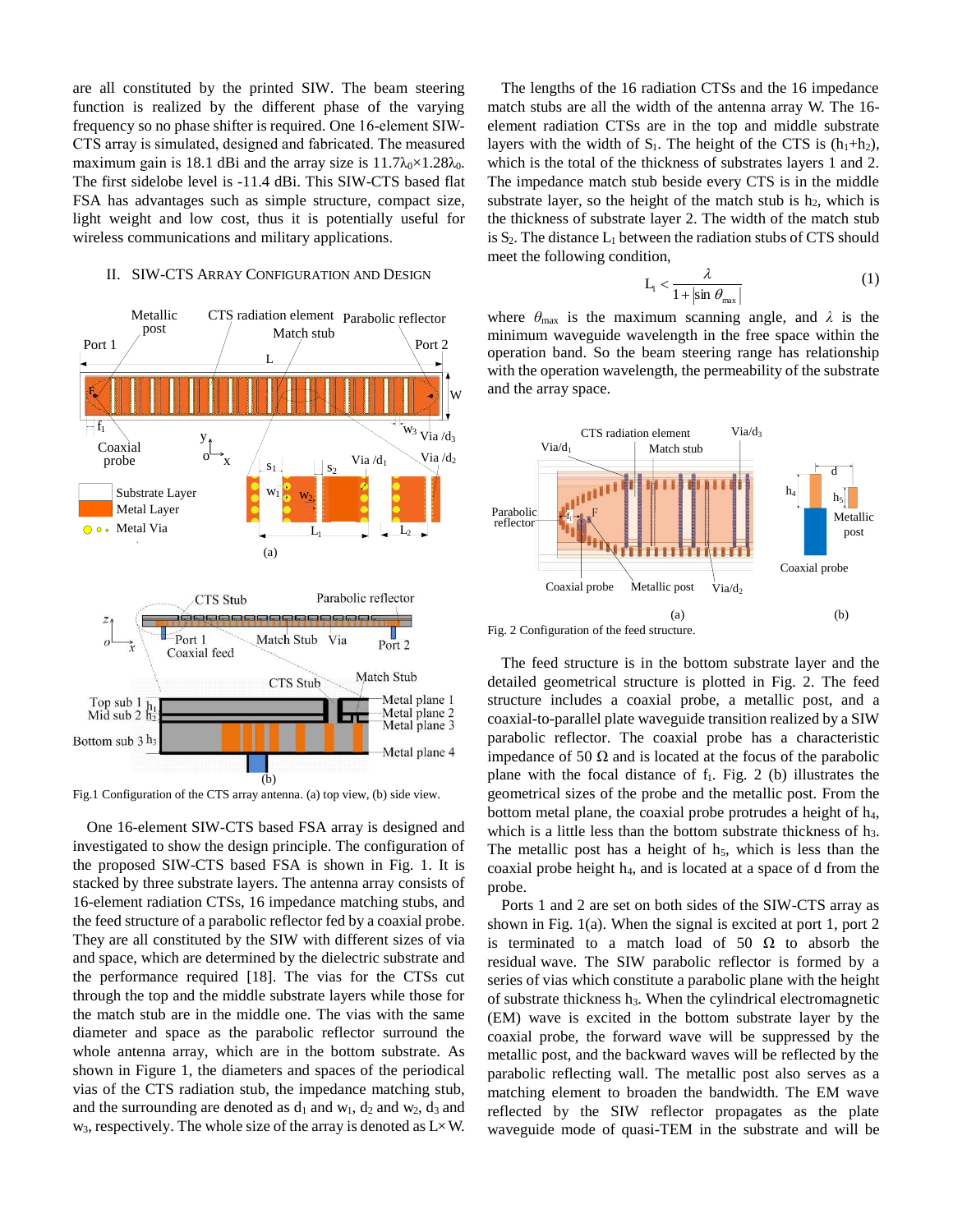are all constituted by the printed SIW. The beam steering function is realized by the different phase of the varying frequency so no phase shifter is required. One 16-element SIW-CTS array is simulated, designed and fabricated. The measured maximum gain is 18.1 dBi and the array size is  $11.7\lambda_0 \times 1.28\lambda_0$ . The first sidelobe level is -11.4 dBi. This SIW-CTS based flat FSA has advantages such as simple structure, compact size, light weight and low cost, thus it is potentially useful for wireless communications and military applications.

#### II. SIW-CTS ARRAY CONFIGURATION AND DESIGN



Fig.1 Configuration of the CTS array antenna. (a) top view, (b) side view.

One 16-element SIW-CTS based FSA array is designed and investigated to show the design principle. The configuration of the proposed SIW-CTS based FSA is shown in Fig. 1. It is stacked by three substrate layers. The antenna array consists of 16-element radiation CTSs, 16 impedance matching stubs, and the feed structure of a parabolic reflector fed by a coaxial probe. They are all constituted by the SIW with different sizes of via and space, which are determined by the dielectric substrate and the performance required [18]. The vias for the CTSs cut through the top and the middle substrate layers while those for the match stub are in the middle one. The vias with the same diameter and space as the parabolic reflector surround the whole antenna array, which are in the bottom substrate. As shown in Figure 1, the diameters and spaces of the periodical vias of the CTS radiation stub, the impedance matching stub, and the surrounding are denoted as  $d_1$  and  $w_1$ ,  $d_2$  and  $w_2$ ,  $d_3$  and  $w_3$ , respectively. The whole size of the array is denoted as  $L \times W$ .

The lengths of the 16 radiation CTSs and the 16 impedance match stubs are all the width of the antenna array W. The 16 element radiation CTSs are in the top and middle substrate layers with the width of  $S_1$ . The height of the CTS is  $(h_1+h_2)$ , which is the total of the thickness of substrates layers 1 and 2. The impedance match stub beside every CTS is in the middle substrate layer, so the height of the match stub is  $h_2$ , which is the thickness of substrate layer 2. The width of the match stub is  $S_2$ . The distance  $L_1$  between the radiation stubs of CTS should meet the following condition,

$$
L_1 < \frac{\lambda}{1 + |\sin \theta_{\text{max}}|} \tag{1}
$$

where  $\theta_{\text{max}}$  is the maximum scanning angle, and  $\lambda$  is the minimum waveguide wavelength in the free space within the operation band. So the beam steering range has relationship with the operation wavelength, the permeability of the substrate and the array space.



Fig. 2 Configuration of the feed structure.

The feed structure is in the bottom substrate layer and the detailed geometrical structure is plotted in Fig. 2. The feed structure includes a coaxial probe, a metallic post, and a coaxial-to-parallel plate waveguide transition realized by a SIW parabolic reflector. The coaxial probe has a characteristic impedance of 50  $\Omega$  and is located at the focus of the parabolic plane with the focal distance of  $f_1$ . Fig. 2 (b) illustrates the geometrical sizes of the probe and the metallic post. From the bottom metal plane, the coaxial probe protrudes a height of  $h_4$ , which is a little less than the bottom substrate thickness of h<sub>3</sub>. The metallic post has a height of  $h_5$ , which is less than the coaxial probe height h4, and is located at a space of d from the probe.

Ports 1 and 2 are set on both sides of the SIW-CTS array as shown in Fig. 1(a). When the signal is excited at port 1, port 2 is terminated to a match load of 50  $\Omega$  to absorb the residual wave. The SIW parabolic reflector is formed by a series of vias which constitute a parabolic plane with the height of substrate thickness h3. When the cylindrical electromagnetic (EM) wave is excited in the bottom substrate layer by the coaxial probe, the forward wave will be suppressed by the metallic post, and the backward waves will be reflected by the parabolic reflecting wall. The metallic post also serves as a matching element to broaden the bandwidth. The EM wave reflected by the SIW reflector propagates as the plate waveguide mode of quasi-TEM in the substrate and will be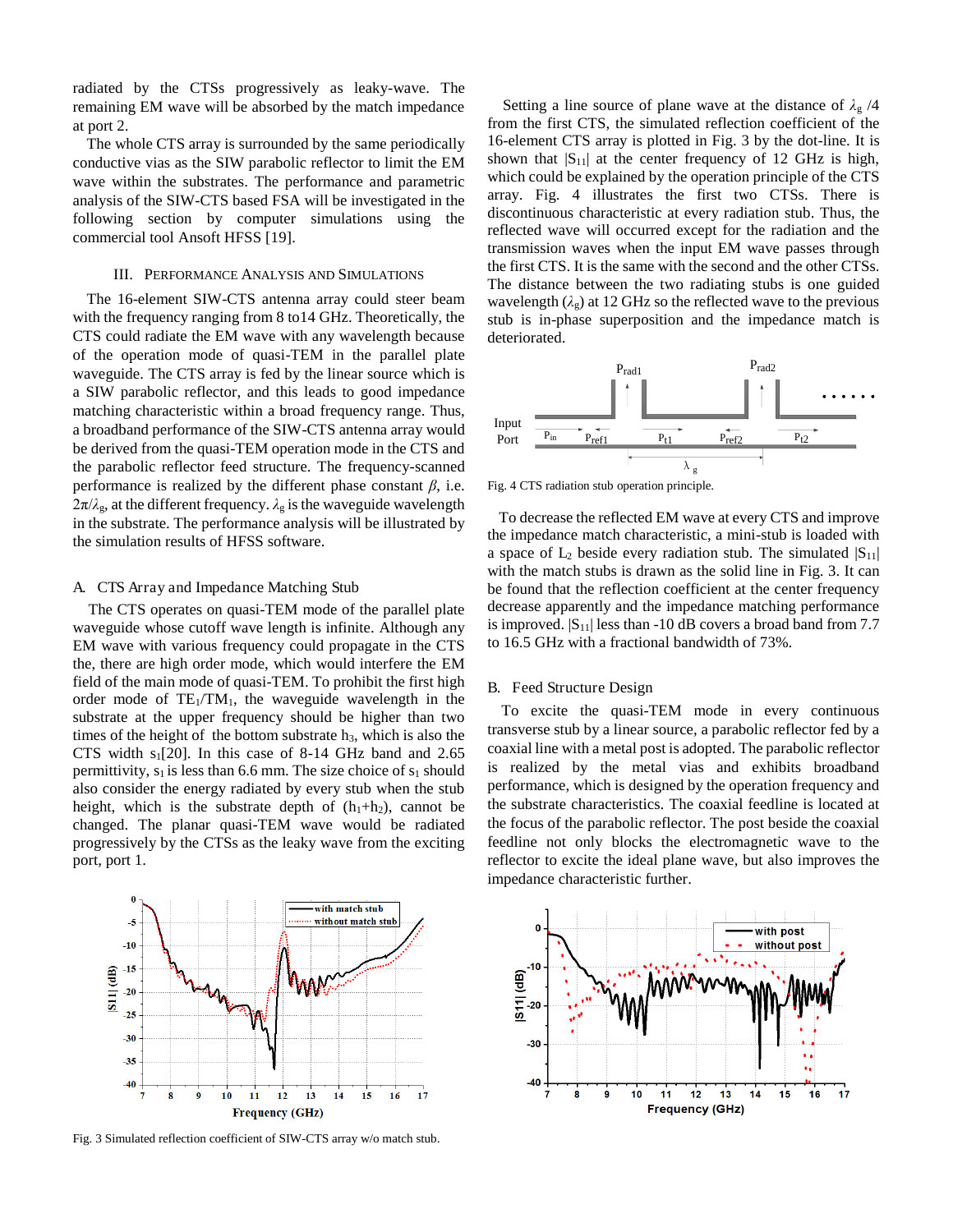radiated by the CTSs progressively as leaky-wave. The remaining EM wave will be absorbed by the match impedance at port 2.

The whole CTS array is surrounded by the same periodically conductive vias as the SIW parabolic reflector to limit the EM wave within the substrates. The performance and parametric analysis of the SIW-CTS based FSA will be investigated in the following section by computer simulations using the commercial tool Ansoft HFSS [19].

#### III. PERFORMANCE ANALYSIS AND SIMULATIONS

The 16-element SIW-CTS antenna array could steer beam with the frequency ranging from 8 to14 GHz. Theoretically, the CTS could radiate the EM wave with any wavelength because of the operation mode of quasi-TEM in the parallel plate waveguide. The CTS array is fed by the linear source which is a SIW parabolic reflector, and this leads to good impedance matching characteristic within a broad frequency range. Thus, a broadband performance of the SIW-CTS antenna array would be derived from the quasi-TEM operation mode in the CTS and the parabolic reflector feed structure. The frequency-scanned performance is realized by the different phase constant  $\beta$ , i.e.  $2\pi/\lambda_{\rm g}$ , at the different frequency.  $\lambda_{\rm g}$  is the waveguide wavelength in the substrate. The performance analysis will be illustrated by the simulation results of HFSS software.

#### A. CTS Array and Impedance Matching Stub

The CTS operates on quasi-TEM mode of the parallel plate waveguide whose cutoff wave length is infinite. Although any EM wave with various frequency could propagate in the CTS the, there are high order mode, which would interfere the EM field of the main mode of quasi-TEM. To prohibit the first high order mode of  $TE_1/TM_1$ , the waveguide wavelength in the substrate at the upper frequency should be higher than two times of the height of the bottom substrate  $h_3$ , which is also the CTS width  $s_1[20]$ . In this case of 8-14 GHz band and 2.65 permittivity,  $s_1$  is less than 6.6 mm. The size choice of  $s_1$  should also consider the energy radiated by every stub when the stub height, which is the substrate depth of  $(h_1+h_2)$ , cannot be changed. The planar quasi-TEM wave would be radiated progressively by the CTSs as the leaky wave from the exciting port, port 1.

shown that  $|S_{11}|$  at the center frequency of 12 GHz is high, which could be explained by the operation principle of the CTS array. Fig. 4 illustrates the first two CTSs. There is discontinuous characteristic at every radiation stub. Thus, the reflected wave will occurred except for the radiation and the transmission waves when the input EM wave passes through the first CTS. It is the same with the second and the other CTSs. The distance between the two radiating stubs is one guided wavelength  $(\lambda_g)$  at 12 GHz so the reflected wave to the previous stub is in-phase superposition and the impedance match is deteriorated.

Setting a line source of plane wave at the distance of  $\lambda_g$  /4 from the first CTS, the simulated reflection coefficient of the 16-element CTS array is plotted in Fig. 3 by the dot-line. It is



Fig. 4 CTS radiation stub operation principle.

 To decrease the reflected EM wave at every CTS and improve the impedance match characteristic, a mini-stub is loaded with a space of  $L_2$  beside every radiation stub. The simulated  $|S_{11}|$ with the match stubs is drawn as the solid line in Fig. 3. It can be found that the reflection coefficient at the center frequency decrease apparently and the impedance matching performance is improved.  $|S_{11}|$  less than -10 dB covers a broad band from 7.7 to 16.5 GHz with a fractional bandwidth of 73%.

#### B. Feed Structure Design

To excite the quasi-TEM mode in every continuous transverse stub by a linear source, a parabolic reflector fed by a coaxial line with a metal post is adopted. The parabolic reflector is realized by the metal vias and exhibits broadband performance, which is designed by the operation frequency and the substrate characteristics. The coaxial feedline is located at the focus of the parabolic reflector. The post beside the coaxial feedline not only blocks the electromagnetic wave to the reflector to excite the ideal plane wave, but also improves the impedance characteristic further.



Fig. 3 Simulated reflection coefficient of SIW-CTS array w/o match stub.

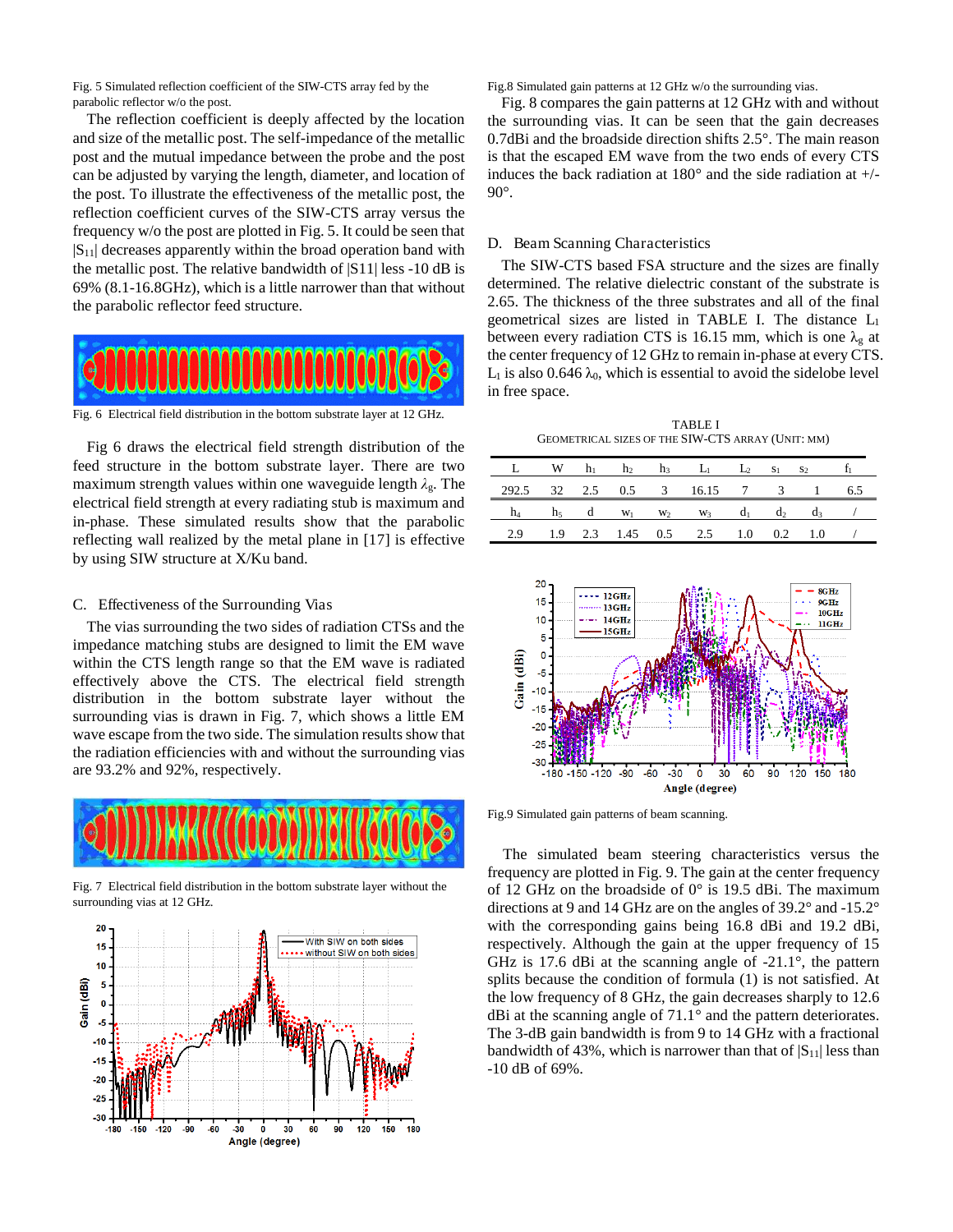Fig. 5 Simulated reflection coefficient of the SIW-CTS array fed by the parabolic reflector w/o the post.

The reflection coefficient is deeply affected by the location and size of the metallic post. The self-impedance of the metallic post and the mutual impedance between the probe and the post can be adjusted by varying the length, diameter, and location of the post. To illustrate the effectiveness of the metallic post, the reflection coefficient curves of the SIW-CTS array versus the frequency w/o the post are plotted in Fig. 5. It could be seen that  $|S_{11}|$  decreases apparently within the broad operation band with the metallic post. The relative bandwidth of |S11| less -10 dB is 69% (8.1-16.8GHz), which is a little narrower than that without the parabolic reflector feed structure.



Fig. 6 Electrical field distribution in the bottom substrate layer at 12 GHz.

Fig 6 draws the electrical field strength distribution of the feed structure in the bottom substrate layer. There are two maximum strength values within one waveguide length *そ*g. The electrical field strength at every radiating stub is maximum and in-phase. These simulated results show that the parabolic reflecting wall realized by the metal plane in [17] is effective by using SIW structure at X/Ku band.

#### C. Effectiveness of the Surrounding Vias

The vias surrounding the two sides of radiation CTSs and the impedance matching stubs are designed to limit the EM wave within the CTS length range so that the EM wave is radiated effectively above the CTS. The electrical field strength distribution in the bottom substrate layer without the surrounding vias is drawn in Fig. 7, which shows a little EM wave escape from the two side. The simulation results show that the radiation efficiencies with and without the surrounding vias are 93.2% and 92%, respectively.



Fig. 7 Electrical field distribution in the bottom substrate layer without the surrounding vias at 12 GHz.



Fig.8 Simulated gain patterns at 12 GHz w/o the surrounding vias.

Fig. 8 compares the gain patterns at 12 GHz with and without the surrounding vias. It can be seen that the gain decreases 0.7dBi and the broadside direction shifts 2.5°. The main reason is that the escaped EM wave from the two ends of every CTS induces the back radiation at  $180^\circ$  and the side radiation at  $+/-$ 90°.

#### D. Beam Scanning Characteristics

The SIW-CTS based FSA structure and the sizes are finally determined. The relative dielectric constant of the substrate is 2.65. The thickness of the three substrates and all of the final geometrical sizes are listed in TABLE I. The distance L<sup>1</sup> between every radiation CTS is 16.15 mm, which is one  $\lambda_{g}$  at the center frequency of 12 GHz to remain in-phase at every CTS.  $L_1$  is also 0.646  $\lambda_0$ , which is essential to avoid the sidelobe level in free space.

TABLE I GEOMETRICAL SIZES OF THE SIW-CTS ARRAY (UNIT: MM)

|                                    |  |  | L W $h_1$ $h_2$ $h_3$ $L_1$ $L_2$ $s_1$ $s_2$ $t_1$                            |  |  |
|------------------------------------|--|--|--------------------------------------------------------------------------------|--|--|
| 292.5 32 2.5 0.5 3 16.15 7 3 1 6.5 |  |  |                                                                                |  |  |
|                                    |  |  | $h_4$ $h_5$ d $w_1$ $w_2$ $w_3$ d <sub>1</sub> d <sub>2</sub> d <sub>3</sub> / |  |  |
|                                    |  |  | 2.9 1.9 2.3 1.45 0.5 2.5 1.0 0.2 1.0                                           |  |  |



Fig.9 Simulated gain patterns of beam scanning.

The simulated beam steering characteristics versus the frequency are plotted in Fig. 9. The gain at the center frequency of 12 GHz on the broadside of 0° is 19.5 dBi. The maximum directions at 9 and 14 GHz are on the angles of 39.2° and -15.2° with the corresponding gains being 16.8 dBi and 19.2 dBi, respectively. Although the gain at the upper frequency of 15 GHz is 17.6 dBi at the scanning angle of -21.1°, the pattern splits because the condition of formula (1) is not satisfied. At the low frequency of 8 GHz, the gain decreases sharply to 12.6 dBi at the scanning angle of 71.1° and the pattern deteriorates. The 3-dB gain bandwidth is from 9 to 14 GHz with a fractional bandwidth of 43%, which is narrower than that of  $|S_{11}|$  less than -10 dB of 69%.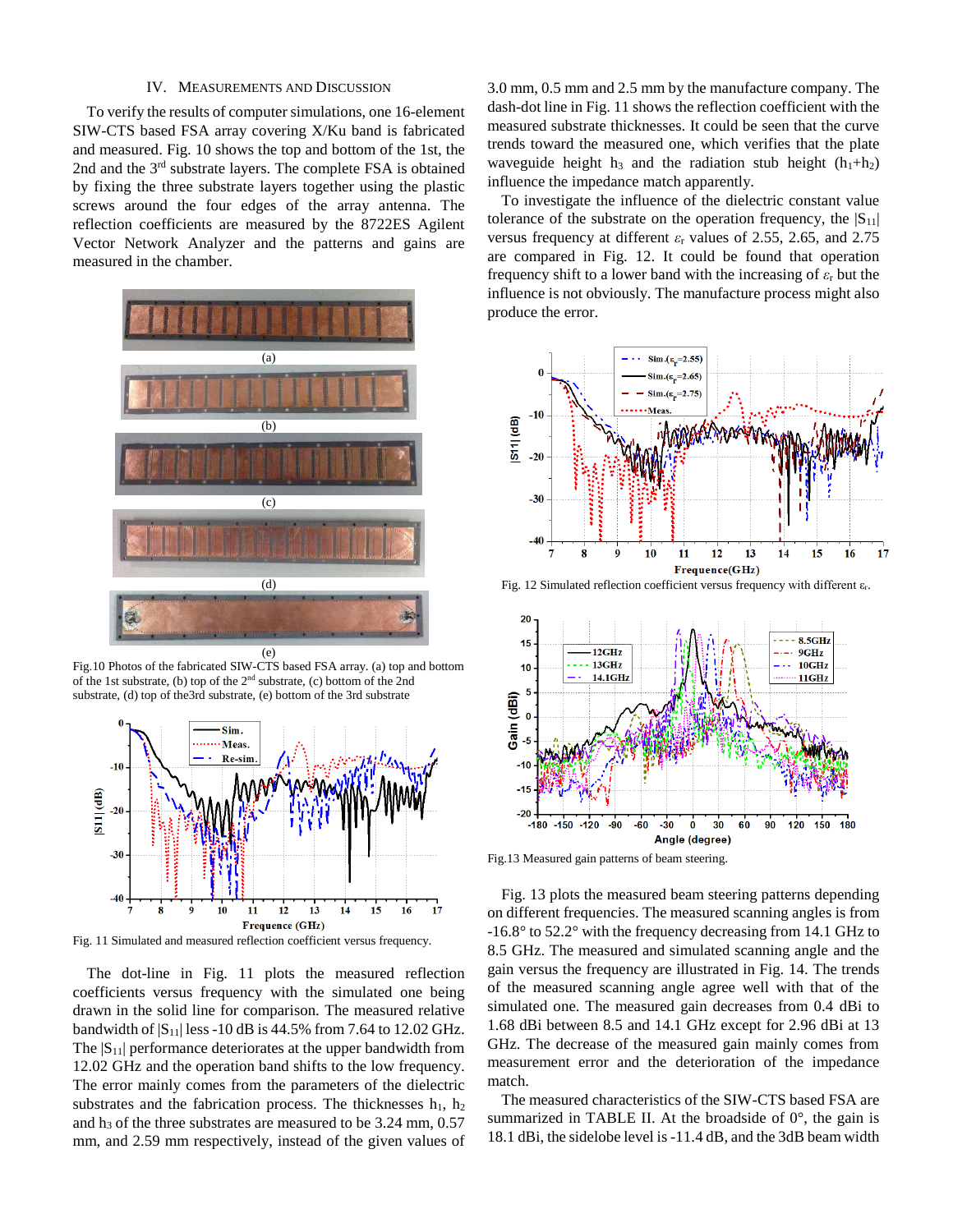#### IV. MEASUREMENTS AND DISCUSSION

To verify the results of computer simulations, one 16-element SIW-CTS based FSA array covering X/Ku band is fabricated and measured. Fig. 10 shows the top and bottom of the 1st, the 2nd and the 3<sup>rd</sup> substrate layers. The complete FSA is obtained by fixing the three substrate layers together using the plastic screws around the four edges of the array antenna. The reflection coefficients are measured by the 8722ES Agilent Vector Network Analyzer and the patterns and gains are measured in the chamber.



Fig.10 Photos of the fabricated SIW-CTS based FSA array. (a) top and bottom of the 1st substrate, (b) top of the 2nd substrate, (c) bottom of the 2nd substrate, (d) top of the3rd substrate, (e) bottom of the 3rd substrate



Fig. 11 Simulated and measured reflection coefficient versus frequency.

The dot-line in Fig. 11 plots the measured reflection coefficients versus frequency with the simulated one being drawn in the solid line for comparison. The measured relative bandwidth of  $|S_{11}|$  less -10 dB is 44.5% from 7.64 to 12.02 GHz. The  $|S_{11}|$  performance deteriorates at the upper bandwidth from 12.02 GHz and the operation band shifts to the low frequency. The error mainly comes from the parameters of the dielectric substrates and the fabrication process. The thicknesses  $h_1$ ,  $h_2$ and  $h_3$  of the three substrates are measured to be 3.24 mm,  $0.57$ mm, and 2.59 mm respectively, instead of the given values of

3.0 mm, 0.5 mm and 2.5 mm by the manufacture company. The dash-dot line in Fig. 11 shows the reflection coefficient with the measured substrate thicknesses. It could be seen that the curve trends toward the measured one, which verifies that the plate waveguide height  $h_3$  and the radiation stub height ( $h_1+h_2$ ) influence the impedance match apparently.

To investigate the influence of the dielectric constant value tolerance of the substrate on the operation frequency, the  $|S_{11}|$ versus frequency at different  $\varepsilon$ <sub>r</sub> values of 2.55, 2.65, and 2.75 are compared in Fig. 12. It could be found that operation frequency shift to a lower band with the increasing of  $\varepsilon_r$  but the influence is not obviously. The manufacture process might also produce the error.



Fig. 12 Simulated reflection coefficient versus frequency with different  $\varepsilon_r$ .



Fig.13 Measured gain patterns of beam steering.

Fig. 13 plots the measured beam steering patterns depending on different frequencies. The measured scanning angles is from -16.8° to 52.2° with the frequency decreasing from 14.1 GHz to 8.5 GHz. The measured and simulated scanning angle and the gain versus the frequency are illustrated in Fig. 14. The trends of the measured scanning angle agree well with that of the simulated one. The measured gain decreases from 0.4 dBi to 1.68 dBi between 8.5 and 14.1 GHz except for 2.96 dBi at 13 GHz. The decrease of the measured gain mainly comes from measurement error and the deterioration of the impedance match.

The measured characteristics of the SIW-CTS based FSA are summarized in TABLE II. At the broadside of  $0^\circ$ , the gain is 18.1 dBi, the sidelobe level is -11.4 dB, and the 3dB beam width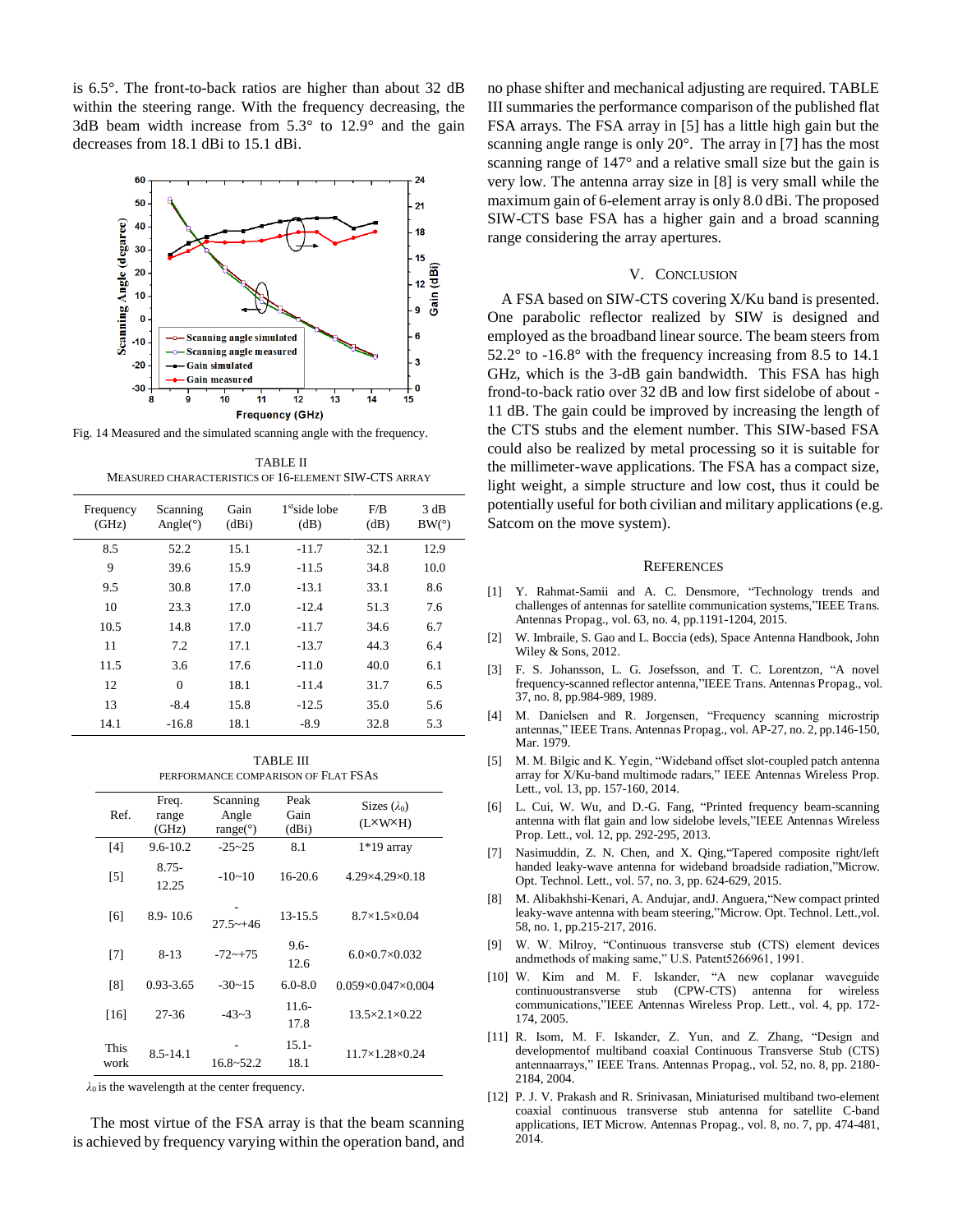is 6.5°. The front-to-back ratios are higher than about 32 dB within the steering range. With the frequency decreasing, the 3dB beam width increase from 5.3° to 12.9° and the gain decreases from 18.1 dBi to 15.1 dBi.



Fig. 14 Measured and the simulated scanning angle with the frequency.

TABLE II MEASURED CHARACTERISTICS OF 16-ELEMENT SIW-CTS ARRAY

| Frequency<br>(GHz) | Scanning<br>Angle( $\circ$ ) | Gain<br>(dBi) | 1 <sup>st</sup> side lobe<br>(dB) | F/B<br>(dB) | 3 dB<br>BW(°) |
|--------------------|------------------------------|---------------|-----------------------------------|-------------|---------------|
| 8.5                | 52.2                         | 15.1          | $-11.7$                           | 32.1        | 12.9          |
| 9                  | 39.6                         | 15.9          | $-11.5$                           | 34.8        | 10.0          |
| 9.5                | 30.8                         | 17.0          | $-13.1$                           | 33.1        | 8.6           |
| 10                 | 23.3                         | 17.0          | $-12.4$                           | 51.3        | 7.6           |
| 10.5               | 14.8                         | 17.0          | $-11.7$                           | 34.6        | 6.7           |
| 11                 | 7.2                          | 17.1          | $-13.7$                           | 44.3        | 6.4           |
| 11.5               | 3.6                          | 17.6          | $-11.0$                           | 40.0        | 6.1           |
| 12                 | $\Omega$                     | 18.1          | $-11.4$                           | 31.7        | 6.5           |
| 13                 | $-8.4$                       | 15.8          | $-12.5$                           | 35.0        | 5.6           |
| 14.1               | $-16.8$                      | 18.1          | $-8.9$                            | 32.8        | 5.3           |

TABLE III PERFORMANCE COMPARISON OF FLAT FSAS

| Ref.         | Freq.<br>range<br>(GHz) | Scanning<br>Angle<br>range( $\degree$ ) | Peak<br>Gain<br>(dBi) | Sizes $(\lambda_0)$<br>(L×W×H) |
|--------------|-------------------------|-----------------------------------------|-----------------------|--------------------------------|
| [4]          | $9.6 - 10.2$            | $-25 - 25$                              | 8.1                   | $1*19$ array                   |
| $[5]$        | 8.75-<br>12.25          | $-10-10$                                | $16-20.6$             | $4.29\times4.29\times0.18$     |
| [6]          | $8.9 - 10.6$            | $27.5 - +46$                            | 13-15.5               | $8.7\times1.5\times0.04$       |
| [7]          | $8 - 13$                | $-72 - +75$                             | $9.6-$<br>12.6        | $6.0\times 0.7\times 0.032$    |
| [8]          | 0.93-3.65               | $-30-15$                                | $6.0 - 8.0$           | $0.059\times0.047\times0.004$  |
| $[16]$       | 27-36                   | $-43-3$                                 | $11.6-$<br>17.8       | $13.5 \times 2.1 \times 0.22$  |
| This<br>work | $8.5 - 14.1$            | $16.8 - 52.2$                           | $15.1 -$<br>18.1      | 11.7×1.28×0.24                 |

 $\lambda_0$  is the wavelength at the center frequency.

 The most virtue of the FSA array is that the beam scanning is achieved by frequency varying within the operation band, and no phase shifter and mechanical adjusting are required. TABLE III summaries the performance comparison of the published flat FSA arrays. The FSA array in [5] has a little high gain but the scanning angle range is only 20°. The array in [7] has the most scanning range of 147° and a relative small size but the gain is very low. The antenna array size in [8] is very small while the maximum gain of 6-element array is only 8.0 dBi. The proposed SIW-CTS base FSA has a higher gain and a broad scanning range considering the array apertures.

#### V. CONCLUSION

A FSA based on SIW-CTS covering X/Ku band is presented. One parabolic reflector realized by SIW is designed and employed as the broadband linear source. The beam steers from 52.2° to -16.8° with the frequency increasing from 8.5 to 14.1 GHz, which is the 3-dB gain bandwidth. This FSA has high frond-to-back ratio over 32 dB and low first sidelobe of about - 11 dB. The gain could be improved by increasing the length of the CTS stubs and the element number. This SIW-based FSA could also be realized by metal processing so it is suitable for the millimeter-wave applications. The FSA has a compact size, light weight, a simple structure and low cost, thus it could be potentially useful for both civilian and military applications (e.g. Satcom on the move system).

#### **REFERENCES**

- [1] Y. Rahmat-Samii and A. C. Densmore, "Technology trends and challenges of antennas for satellite communication systems,"IEEE Trans. Antennas Propag., vol. 63, no. 4, pp.1191-1204, 2015.
- [2] W. Imbraile, S. Gao and L. Boccia (eds), Space Antenna Handbook, John Wiley & Sons, 2012.
- [3] F. S. Johansson, L. G. Josefsson, and T. C. Lorentzon, "A novel frequency-scanned reflector antenna,"IEEE Trans. Antennas Propag., vol. 37, no. 8, pp.984-989, 1989.
- [4] M. Danielsen and R. Jorgensen, "Frequency scanning microstrip antennas," IEEE Trans. Antennas Propag., vol. AP-27, no. 2, pp.146-150, Mar. 1979.
- [5] M. M. Bilgic and K. Yegin, "Wideband offset slot-coupled patch antenna array for X/Ku-band multimode radars," IEEE Antennas Wireless Prop. Lett., vol. 13, pp. 157-160, 2014.
- [6] L. Cui, W. Wu, and D.-G. Fang, "Printed frequency beam-scanning antenna with flat gain and low sidelobe levels,"IEEE Antennas Wireless Prop. Lett., vol. 12, pp. 292-295, 2013.
- [7] Nasimuddin, Z. N. Chen, and X. Qing,"Tapered composite right/left handed leaky-wave antenna for wideband broadside radiation,"Microw. Opt. Technol. Lett., vol. 57, no. 3, pp. 624-629, 2015.
- [8] M. Alibakhshi-Kenari, A. Andujar, andJ. Anguera,"New compact printed leaky-wave antenna with beam steering,"Microw. Opt. Technol. Lett.,vol. 58, no. 1, pp.215-217, 2016.
- [9] W. W. Milroy, "Continuous transverse stub (CTS) element devices andmethods of making same," U.S. Patent5266961, 1991.
- [10] W. Kim and M. F. Iskander, "A new coplanar waveguide continuoustransverse stub (CPW-CTS) antenna for wireless communications,"IEEE Antennas Wireless Prop. Lett., vol. 4, pp. 172- 174, 2005.
- [11] R. Isom, M. F. Iskander, Z. Yun, and Z. Zhang, "Design and developmentof multiband coaxial Continuous Transverse Stub (CTS) antennaarrays," IEEE Trans. Antennas Propag., vol. 52, no. 8, pp. 2180- 2184, 2004.
- [12] P. J. V. Prakash and R. Srinivasan, Miniaturised multiband two-element coaxial continuous transverse stub antenna for satellite C-band applications, IET Microw. Antennas Propag., vol. 8, no. 7, pp. 474-481, 2014.